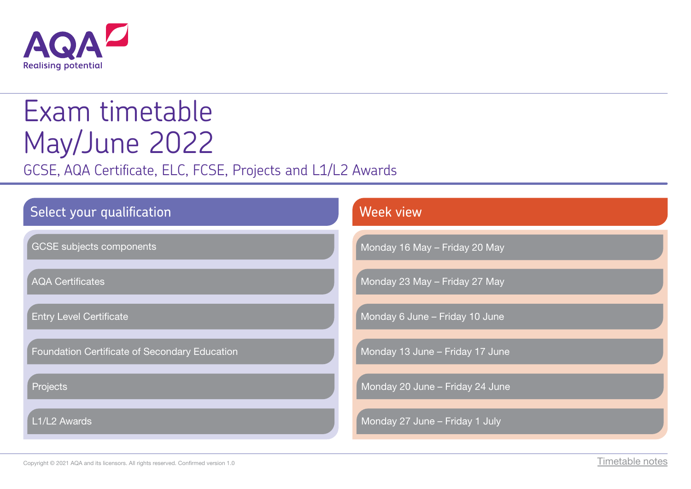

# Exam timetable May/June 2022

GCSE, AQA Certificate, ELC, FCSE, Projects and L1/L2 Awards

| Select your qualification                     | <b>Week view</b>                |
|-----------------------------------------------|---------------------------------|
| <b>GCSE</b> subjects components               | Monday 16 May - Friday 20 May   |
| <b>AQA Certificates</b>                       | Monday 23 May - Friday 27 May   |
| <b>Entry Level Certificate</b>                | Monday 6 June - Friday 10 June  |
| Foundation Certificate of Secondary Education | Monday 13 June - Friday 17 June |
| Projects                                      | Monday 20 June - Friday 24 June |
| L1/L2 Awards                                  | Monday 27 June - Friday 1 July  |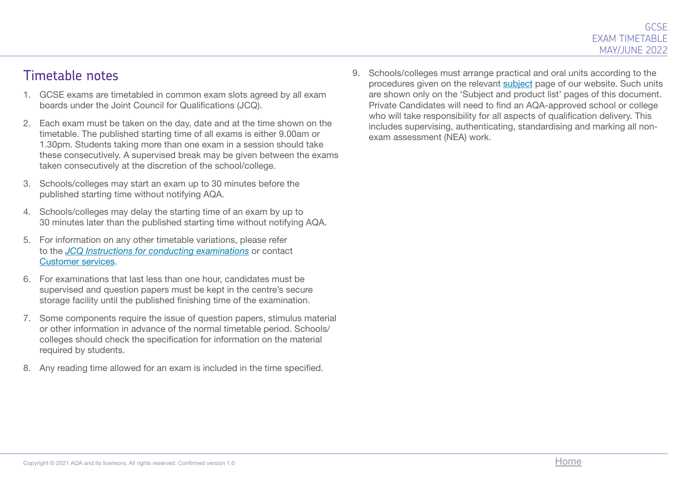#### Timetable notes

- 1. GCSE exams are timetabled in common exam slots agreed by all exam boards under the Joint Council for Qualifications (JCQ).
- 2. Each exam must be taken on the day, date and at the time shown on the timetable. The published starting time of all exams is either 9.00am or 1.30pm. Students taking more than one exam in a session should take these consecutively. A supervised break may be given between the exams taken consecutively at the discretion of the school/college.
- 3. Schools/colleges may start an exam up to 30 minutes before the published starting time without notifying AQA.
- 4. Schools/colleges may delay the starting time of an exam by up to 30 minutes later than the published starting time without notifying AQA.
- 5. For information on any other timetable variations, please refer to the *[JCQ Instructions for conducting examinations](http://www.jcq.org.uk/exams-office/ice---instructions-for-conducting-examinations)* or contact [Customer services.](mailto:eos%40aqa.org.uk?subject=)
- 6. For examinations that last less than one hour, candidates must be supervised and question papers must be kept in the centre's secure storage facility until the published finishing time of the examination.
- 7. Some components require the issue of question papers, stimulus material or other information in advance of the normal timetable period. Schools/ colleges should check the specification for information on the material required by students.
- 8. Any reading time allowed for an exam is included in the time specified.

9. Schools/colleges must arrange practical and oral units according to the procedures given on the relevant [subject](http://www.aqa.org.uk/subjects) page of our website. Such units are shown only on the 'Subject and product list' pages of this document. Private Candidates will need to find an AQA-approved school or college who will take responsibility for all aspects of qualification delivery. This includes supervising, authenticating, standardising and marking all nonexam assessment (NEA) work.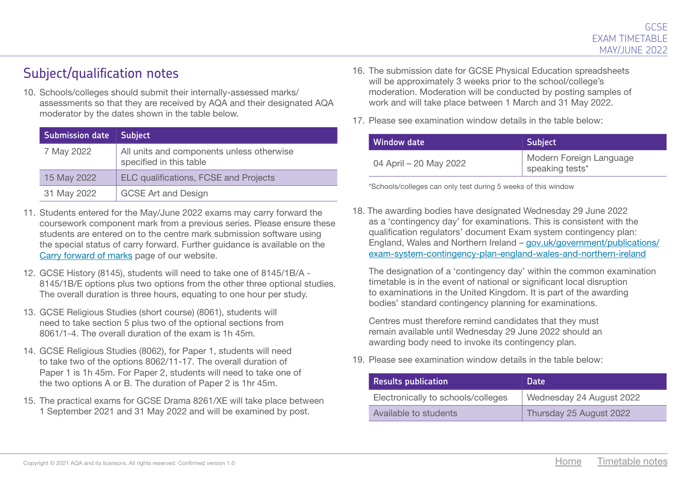#### Subject/qualification notes

10. Schools/colleges should submit their internally-assessed marks/ assessments so that they are received by AQA and their designated AQA moderator by the dates shown in the table below.

| <b>Submission date</b> | <b>Subject</b>                                                       |
|------------------------|----------------------------------------------------------------------|
| 7 May 2022             | All units and components unless otherwise<br>specified in this table |
| 15 May 2022            | <b>ELC qualifications, FCSE and Projects</b>                         |
| 31 May 2022            | <b>GCSE Art and Design</b>                                           |

- 11. Students entered for the May/June 2022 exams may carry forward the coursework component mark from a previous series. Please ensure these students are entered on to the centre mark submission software using the special status of carry forward. Further guidance is available on the [Carry forward of marks](http://www.aqa.org.uk/exams-administration/coursework-controlled-assessment-nea/carry-forward-of-marks) page of our website.
- 12. GCSE History (8145), students will need to take one of 8145/1B/A 8145/1B/E options plus two options from the other three optional studies. The overall duration is three hours, equating to one hour per study.
- 13. GCSE Religious Studies (short course) (8061), students will need to take section 5 plus two of the optional sections from 8061/1-4. The overall duration of the exam is 1h 45m.
- 14. GCSE Religious Studies (8062), for Paper 1, students will need to take two of the options 8062/11-17. The overall duration of Paper 1 is 1h 45m. For Paper 2, students will need to take one of the two options A or B. The duration of Paper 2 is 1hr 45m.
- 15. The practical exams for GCSE Drama 8261/XE will take place between 1 September 2021 and 31 May 2022 and will be examined by post.
- 16. The submission date for GCSE Physical Education spreadsheets will be approximately 3 weeks prior to the school/college's moderation. Moderation will be conducted by posting samples of work and will take place between 1 March and 31 May 2022.
- 17. Please see examination window details in the table below:

| Window date            | <b>Subject</b>                             |
|------------------------|--------------------------------------------|
| 04 April – 20 May 2022 | Modern Foreign Language<br>speaking tests* |

\*Schools/colleges can only test during 5 weeks of this window

18. The awarding bodies have designated Wednesday 29 June 2022 as a 'contingency day' for examinations. This is consistent with the qualification regulators' document Exam system contingency plan: England, Wales and Northern Ireland – [gov.uk/government/publications/](http://gov.uk/government/publications/exam-system-contingency-plan-england-wales-and-northern-ireland) [exam-system-contingency-plan-england-wales-and-northern-ireland](http://gov.uk/government/publications/exam-system-contingency-plan-england-wales-and-northern-ireland)

The designation of a 'contingency day' within the common examination timetable is in the event of national or significant local disruption to examinations in the United Kingdom. It is part of the awarding bodies' standard contingency planning for examinations.

Centres must therefore remind candidates that they must remain available until Wednesday 29 June 2022 should an awarding body need to invoke its contingency plan.

19. Please see examination window details in the table below:

| Results publication <b>R</b>       | Date                     |
|------------------------------------|--------------------------|
| Electronically to schools/colleges | Wednesday 24 August 2022 |
| Available to students              | Thursday 25 August 2022  |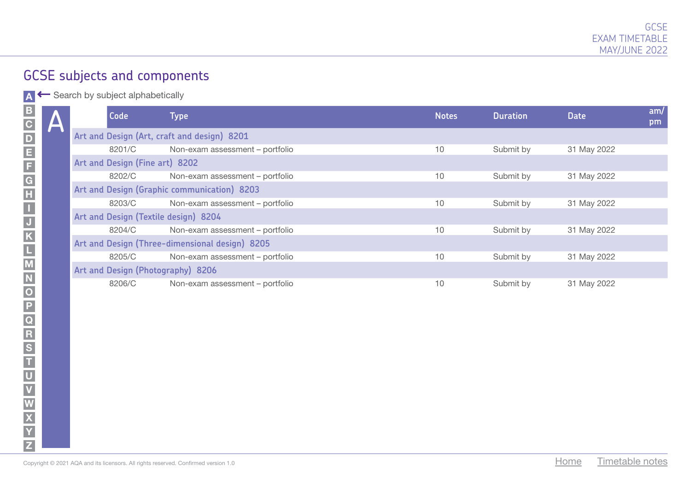A ← Search by subject alphabetically

| Code                                 | Type                                           | <b>Notes</b> | <b>Duration</b> | <b>Date</b> | am/<br>pm |
|--------------------------------------|------------------------------------------------|--------------|-----------------|-------------|-----------|
|                                      | Art and Design (Art, craft and design) 8201    |              |                 |             |           |
| 8201/C                               | Non-exam assessment - portfolio                | 10           | Submit by       | 31 May 2022 |           |
| Art and Design (Fine art) 8202       |                                                |              |                 |             |           |
| 8202/C                               | Non-exam assessment - portfolio                | 10           | Submit by       | 31 May 2022 |           |
|                                      | Art and Design (Graphic communication) 8203    |              |                 |             |           |
| 8203/C                               | Non-exam assessment - portfolio                | 10           | Submit by       | 31 May 2022 |           |
| Art and Design (Textile design) 8204 |                                                |              |                 |             |           |
| 8204/C                               | Non-exam assessment - portfolio                | 10           | Submit by       | 31 May 2022 |           |
|                                      | Art and Design (Three-dimensional design) 8205 |              |                 |             |           |
| 8205/C                               | Non-exam assessment - portfolio                | 10           | Submit by       | 31 May 2022 |           |
| Art and Design (Photography) 8206    |                                                |              |                 |             |           |
| 8206/C                               | Non-exam assessment - portfolio                | 10           | Submit by       | 31 May 2022 |           |

A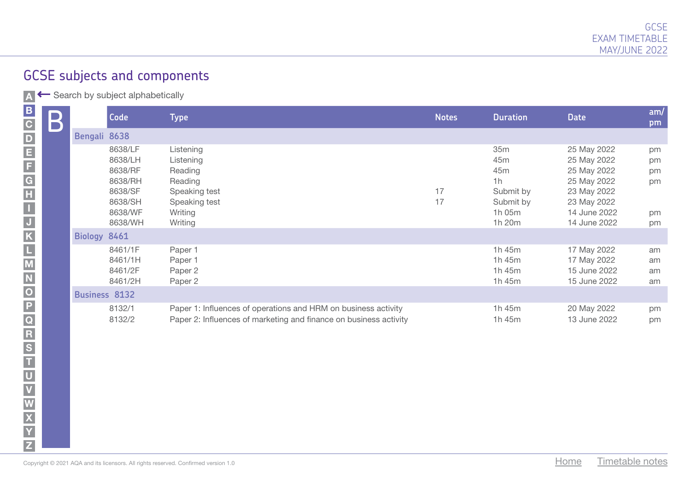| $\mathsf B$          | Code                                                                                 | Type                                                                                                                                | <b>Notes</b> | <b>Duration</b>                                                                                           | <b>Date</b>                                                                                                            | am/<br>pm                        |
|----------------------|--------------------------------------------------------------------------------------|-------------------------------------------------------------------------------------------------------------------------------------|--------------|-----------------------------------------------------------------------------------------------------------|------------------------------------------------------------------------------------------------------------------------|----------------------------------|
| Bengali 8638         |                                                                                      |                                                                                                                                     |              |                                                                                                           |                                                                                                                        |                                  |
|                      | 8638/LF<br>8638/LH<br>8638/RF<br>8638/RH<br>8638/SF<br>8638/SH<br>8638/WF<br>8638/WH | Listening<br>Listening<br>Reading<br>Reading<br>Speaking test<br>Speaking test<br>Writing<br>Writing                                | 17<br>17     | 35 <sub>m</sub><br>45 <sub>m</sub><br>45 <sub>m</sub><br>1h<br>Submit by<br>Submit by<br>1h 05m<br>1h 20m | 25 May 2022<br>25 May 2022<br>25 May 2022<br>25 May 2022<br>23 May 2022<br>23 May 2022<br>14 June 2022<br>14 June 2022 | pm<br>pm<br>pm<br>pm<br>pm<br>pm |
| Biology 8461         |                                                                                      |                                                                                                                                     |              |                                                                                                           |                                                                                                                        |                                  |
|                      | 8461/1F<br>8461/1H<br>8461/2F<br>8461/2H                                             | Paper 1<br>Paper 1<br>Paper 2<br>Paper 2                                                                                            |              | 1h 45m<br>1h 45m<br>1h 45m<br>1h 45m                                                                      | 17 May 2022<br>17 May 2022<br>15 June 2022<br>15 June 2022                                                             | am<br>am<br>am<br>am             |
| <b>Business 8132</b> |                                                                                      |                                                                                                                                     |              |                                                                                                           |                                                                                                                        |                                  |
|                      | 8132/1<br>8132/2                                                                     | Paper 1: Influences of operations and HRM on business activity<br>Paper 2: Influences of marketing and finance on business activity |              | 1h 45m<br>1h 45m                                                                                          | 20 May 2022<br>13 June 2022                                                                                            | pm<br>pm                         |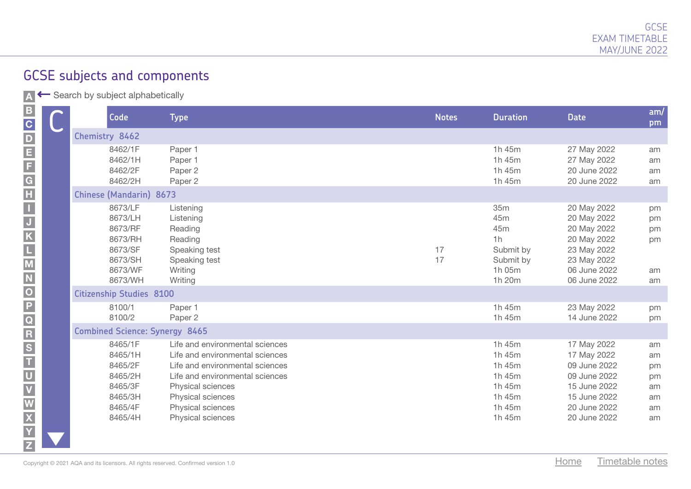| Code                                                                                 | <b>Type</b>                                                                                                                                                                                             | <b>Notes</b> | <b>Duration</b>                                                       | <b>Date</b>                                                                                                            | am/<br>pm                              |
|--------------------------------------------------------------------------------------|---------------------------------------------------------------------------------------------------------------------------------------------------------------------------------------------------------|--------------|-----------------------------------------------------------------------|------------------------------------------------------------------------------------------------------------------------|----------------------------------------|
| Chemistry 8462                                                                       |                                                                                                                                                                                                         |              |                                                                       |                                                                                                                        |                                        |
| 8462/1F<br>8462/1H<br>8462/2F<br>8462/2H                                             | Paper 1<br>Paper 1<br>Paper 2<br>Paper 2                                                                                                                                                                |              | 1h 45m<br>1h 45m<br>1h 45m<br>1h 45m                                  | 27 May 2022<br>27 May 2022<br>20 June 2022<br>20 June 2022                                                             | am<br>am<br>am<br>am                   |
| <b>Chinese (Mandarin) 8673</b>                                                       |                                                                                                                                                                                                         |              |                                                                       |                                                                                                                        |                                        |
| 8673/LF<br>8673/LH<br>8673/RF<br>8673/RH<br>8673/SF<br>8673/SH<br>8673/WF<br>8673/WH | Listening<br>Listening<br>Reading<br>Reading<br>Speaking test<br>Speaking test<br>Writing<br>Writing                                                                                                    | 17<br>17     | 35m<br>45m<br>45m<br>1h<br>Submit by<br>Submit by<br>1h 05m<br>1h 20m | 20 May 2022<br>20 May 2022<br>20 May 2022<br>20 May 2022<br>23 May 2022<br>23 May 2022<br>06 June 2022<br>06 June 2022 | pm<br>pm<br>pm<br>pm<br>am<br>am       |
| <b>Citizenship Studies 8100</b>                                                      |                                                                                                                                                                                                         |              |                                                                       |                                                                                                                        |                                        |
| 8100/1<br>8100/2                                                                     | Paper 1<br>Paper 2                                                                                                                                                                                      |              | 1h 45m<br>1h 45m                                                      | 23 May 2022<br>14 June 2022                                                                                            | pm<br>pm                               |
| <b>Combined Science: Synergy 8465</b>                                                |                                                                                                                                                                                                         |              |                                                                       |                                                                                                                        |                                        |
| 8465/1F<br>8465/1H<br>8465/2F<br>8465/2H<br>8465/3F<br>8465/3H<br>8465/4F            | Life and environmental sciences<br>Life and environmental sciences<br>Life and environmental sciences<br>Life and environmental sciences<br>Physical sciences<br>Physical sciences<br>Physical sciences |              | 1h 45m<br>1h 45m<br>1h 45m<br>1h 45m<br>1h 45m<br>1h 45m<br>1h 45m    | 17 May 2022<br>17 May 2022<br>09 June 2022<br>09 June 2022<br>15 June 2022<br>15 June 2022<br>20 June 2022             | am<br>am<br>pm<br>pm<br>am<br>am<br>am |
| 8465/4H                                                                              | Physical sciences                                                                                                                                                                                       |              | 1h 45m                                                                | 20 June 2022                                                                                                           | am                                     |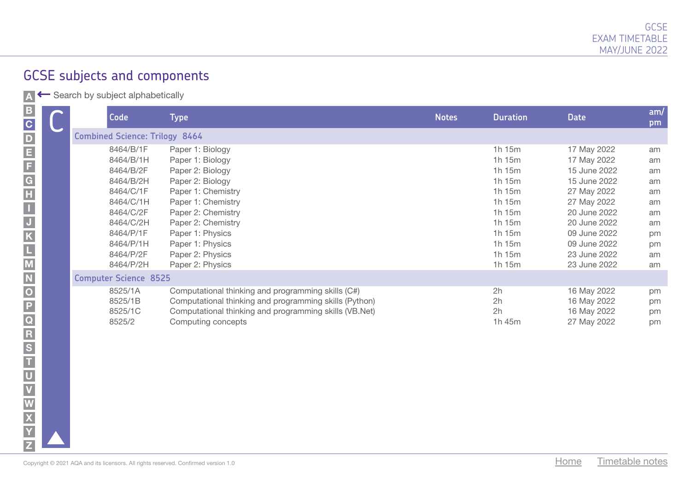|                                                  | <b>Code</b>                                                                                                                                 | Type                                                                                                                                                                                                                             | <b>Notes</b> | <b>Duration</b>                                                                                           | <b>Date</b>                                                                                                                                                              | am/<br>pm                                                      |
|--------------------------------------------------|---------------------------------------------------------------------------------------------------------------------------------------------|----------------------------------------------------------------------------------------------------------------------------------------------------------------------------------------------------------------------------------|--------------|-----------------------------------------------------------------------------------------------------------|--------------------------------------------------------------------------------------------------------------------------------------------------------------------------|----------------------------------------------------------------|
|                                                  | <b>Combined Science: Trilogy 8464</b>                                                                                                       |                                                                                                                                                                                                                                  |              |                                                                                                           |                                                                                                                                                                          |                                                                |
| $\frac{\mathsf{D}}{\mathsf{E}}$<br>$\frac{F}{G}$ | 8464/B/1F<br>8464/B/1H<br>8464/B/2F<br>8464/B/2H<br>8464/C/1F<br>8464/C/1H<br>8464/C/2F<br>8464/C/2H<br>8464/P/1F<br>8464/P/1H<br>8464/P/2F | Paper 1: Biology<br>Paper 1: Biology<br>Paper 2: Biology<br>Paper 2: Biology<br>Paper 1: Chemistry<br>Paper 1: Chemistry<br>Paper 2: Chemistry<br>Paper 2: Chemistry<br>Paper 1: Physics<br>Paper 1: Physics<br>Paper 2: Physics |              | 1h 15m<br>1h 15m<br>1h 15m<br>1h 15m<br>1h 15m<br>1h 15m<br>1h 15m<br>1h 15m<br>1h 15m<br>1h 15m<br>1h15m | 17 May 2022<br>17 May 2022<br>15 June 2022<br>15 June 2022<br>27 May 2022<br>27 May 2022<br>20 June 2022<br>20 June 2022<br>09 June 2022<br>09 June 2022<br>23 June 2022 | am<br>am<br>am<br>am<br>am<br>am<br>am<br>am<br>pm<br>pm<br>am |
|                                                  | 8464/P/2H                                                                                                                                   | Paper 2: Physics                                                                                                                                                                                                                 |              | 1h 15m                                                                                                    | 23 June 2022                                                                                                                                                             | am                                                             |
|                                                  | <b>Computer Science 8525</b>                                                                                                                |                                                                                                                                                                                                                                  |              |                                                                                                           |                                                                                                                                                                          |                                                                |
| $\overline{\mathbf{o}}$<br>P                     | 8525/1A<br>8525/1B<br>8525/1C<br>8525/2                                                                                                     | Computational thinking and programming skills (C#)<br>Computational thinking and programming skills (Python)<br>Computational thinking and programming skills (VB.Net)<br>Computing concepts                                     |              | 2h<br>2h<br>2h<br>1h 45m                                                                                  | 16 May 2022<br>16 May 2022<br>16 May 2022<br>27 May 2022                                                                                                                 | pm<br>pm<br>pm<br>pm                                           |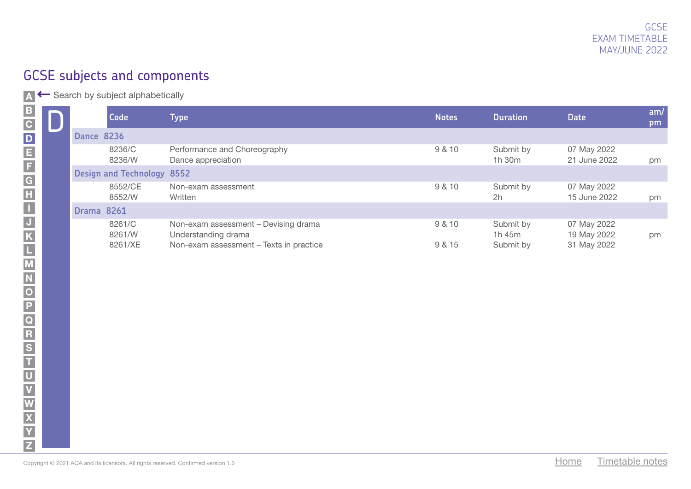| $\mathbf{C}$            |                   | <b>Code</b>                | Type                                                        | <b>Notes</b> | <b>Duration</b>     | <b>Date</b>                 | am/<br>pm |
|-------------------------|-------------------|----------------------------|-------------------------------------------------------------|--------------|---------------------|-----------------------------|-----------|
| $\overline{\mathsf{D}}$ | <b>Dance 8236</b> |                            |                                                             |              |                     |                             |           |
| E                       |                   | 8236/C<br>8236/W           | Performance and Choreography<br>Dance appreciation          | 9 & 10       | Submit by<br>1h 30m | 07 May 2022<br>21 June 2022 | pm        |
| F,<br>G                 |                   | Design and Technology 8552 |                                                             |              |                     |                             |           |
| H                       |                   | 8552/CE<br>8552/W          | Non-exam assessment<br>Written                              | 9 & 10       | Submit by<br>2h     | 07 May 2022<br>15 June 2022 | pm        |
|                         | <b>Drama 8261</b> |                            |                                                             |              |                     |                             |           |
|                         |                   | 8261/C<br>8261/W           | Non-exam assessment - Devising drama<br>Understanding drama | 9 & 10       | Submit by<br>1h 45m | 07 May 2022<br>19 May 2022  | pm        |
|                         |                   | 8261/XE                    | Non-exam assessment - Texts in practice                     | 9 & 15       | Submit by           | 31 May 2022                 |           |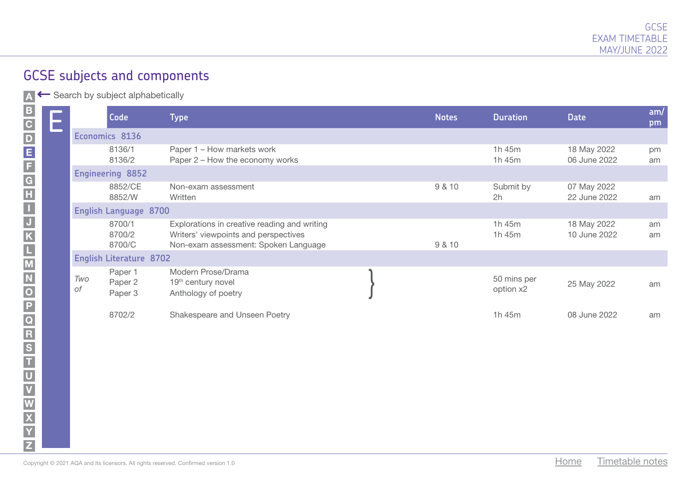| $\overline{\mathbf{C}}$    |           | <b>Code</b>                    | Type                                                                                                                         | <b>Notes</b> | <b>Duration</b>          | <b>Date</b>                 | am/<br>pm |
|----------------------------|-----------|--------------------------------|------------------------------------------------------------------------------------------------------------------------------|--------------|--------------------------|-----------------------------|-----------|
|                            |           | Economics 8136                 |                                                                                                                              |              |                          |                             |           |
| D<br>E<br>F<br>G<br>H<br>I |           | 8136/1<br>8136/2               | Paper 1 – How markets work<br>Paper 2 – How the economy works                                                                |              | 1h 45m<br>1h 45m         | 18 May 2022<br>06 June 2022 | pm<br>am  |
|                            |           | <b>Engineering 8852</b>        |                                                                                                                              |              |                          |                             |           |
|                            |           | 8852/CE<br>8852/W              | Non-exam assessment<br>Written                                                                                               | 9 & 10       | Submit by<br>2h          | 07 May 2022<br>22 June 2022 | am        |
|                            |           | <b>English Language 8700</b>   |                                                                                                                              |              |                          |                             |           |
|                            |           | 8700/1<br>8700/2<br>8700/C     | Explorations in creative reading and writing<br>Writers' viewpoints and perspectives<br>Non-exam assessment: Spoken Language | 9 & 10       | 1h 45m<br>1h 45m         | 18 May 2022<br>10 June 2022 | am<br>am  |
| $\overline{\mathsf{M}}$    |           | <b>English Literature 8702</b> |                                                                                                                              |              |                          |                             |           |
| $\overline{\mathbf{o}}$    | Two<br>0f | Paper 1<br>Paper 2<br>Paper 3  | Modern Prose/Drama<br>19 <sup>th</sup> century novel<br>Anthology of poetry                                                  |              | 50 mins per<br>option x2 | 25 May 2022                 | am        |
| P<br>$\overline{Q}$        |           | 8702/2                         | Shakespeare and Unseen Poetry                                                                                                |              | 1h 45m                   | 08 June 2022                | am        |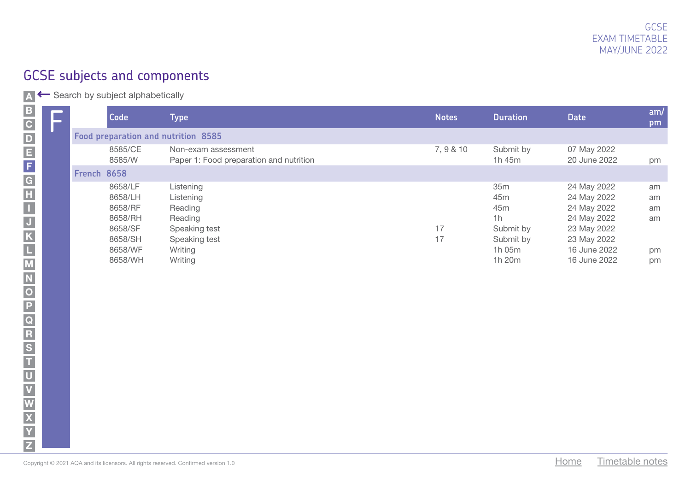| B.<br>$\overline{\mathbf{C}}$ |             | <b>Code</b>        | Type                                                           | <b>Notes</b> | <b>Duration</b>             | <b>Date</b>                 | am/<br>pm |
|-------------------------------|-------------|--------------------|----------------------------------------------------------------|--------------|-----------------------------|-----------------------------|-----------|
| D                             |             |                    | Food preparation and nutrition 8585                            |              |                             |                             |           |
| E,                            |             | 8585/CE<br>8585/W  | Non-exam assessment<br>Paper 1: Food preparation and nutrition | 7, 9 & 10    | Submit by<br>1h 45m         | 07 May 2022<br>20 June 2022 | pm        |
| F.<br>$\overline{\mathsf{G}}$ | French 8658 |                    |                                                                |              |                             |                             |           |
| H,                            |             | 8658/LF<br>8658/LH | Listening<br>Listening                                         |              | 35 <sub>m</sub><br>45m      | 24 May 2022<br>24 May 2022  | am<br>am  |
|                               |             | 8658/RF            | Reading                                                        |              | 45m                         | 24 May 2022                 | am        |
|                               |             | 8658/RH<br>8658/SF | Reading<br>Speaking test                                       | 17           | 1 <sub>h</sub><br>Submit by | 24 May 2022<br>23 May 2022  | am        |
|                               |             | 8658/SH<br>8658/WF | Speaking test<br>Writing                                       | 17           | Submit by<br>1h 05m         | 23 May 2022<br>16 June 2022 | pm        |
|                               |             | 8658/WH            | Writing                                                        |              | 1h 20m                      | 16 June 2022                | pm        |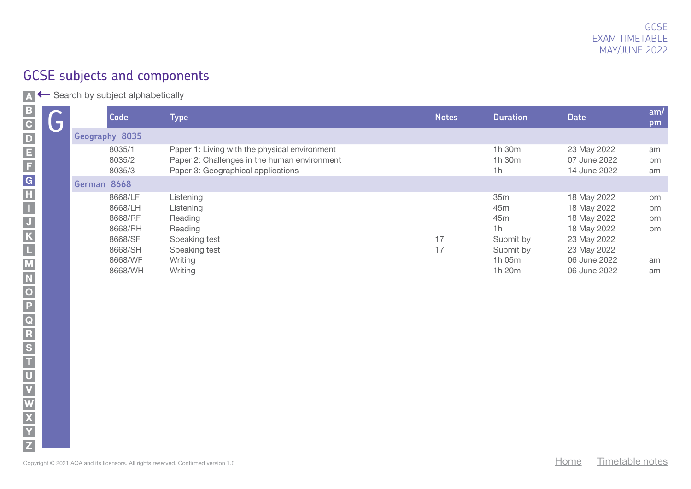| <b>Code</b><br>$\overline{\bm{G}}$ |                                                                           | Type                                                                                                                                | <b>Notes</b> | <b>Duration</b>                                                                     | <b>Date</b>                                                                                            | am/<br>pm                  |
|------------------------------------|---------------------------------------------------------------------------|-------------------------------------------------------------------------------------------------------------------------------------|--------------|-------------------------------------------------------------------------------------|--------------------------------------------------------------------------------------------------------|----------------------------|
| Geography 8035                     |                                                                           |                                                                                                                                     |              |                                                                                     |                                                                                                        |                            |
|                                    | 8035/1<br>8035/2<br>8035/3                                                | Paper 1: Living with the physical environment<br>Paper 2: Challenges in the human environment<br>Paper 3: Geographical applications |              | 1h 30m<br>1h 30m<br>1h                                                              | 23 May 2022<br>07 June 2022<br>14 June 2022                                                            | am<br>pm<br>am             |
| German 8668                        |                                                                           |                                                                                                                                     |              |                                                                                     |                                                                                                        |                            |
|                                    | 8668/LF<br>8668/LH<br>8668/RF<br>8668/RH<br>8668/SF<br>8668/SH<br>8668/WF | Listening<br>Listening<br>Reading<br>Reading<br>Speaking test<br>Speaking test<br>Writing                                           | 17<br>17     | 35m<br>45 <sub>m</sub><br>45 <sub>m</sub><br>1h<br>Submit by<br>Submit by<br>1h 05m | 18 May 2022<br>18 May 2022<br>18 May 2022<br>18 May 2022<br>23 May 2022<br>23 May 2022<br>06 June 2022 | pm<br>pm<br>pm<br>pm<br>am |
|                                    | 8668/WH                                                                   | Writing                                                                                                                             |              | 1h 20m                                                                              | 06 June 2022                                                                                           | am                         |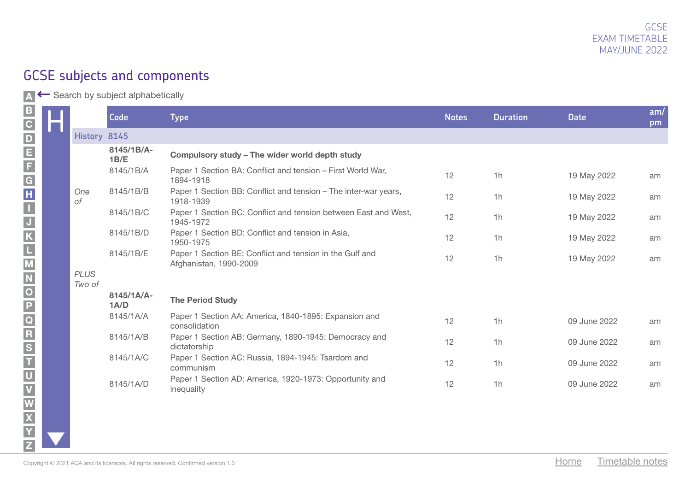A Search by subject alphabetically

|                       | Code                  | <b>Type</b>                                                                        | <b>Notes</b> | <b>Duration</b> | <b>Date</b>  | am/<br>pm |
|-----------------------|-----------------------|------------------------------------------------------------------------------------|--------------|-----------------|--------------|-----------|
| History 8145          |                       |                                                                                    |              |                 |              |           |
|                       | 8145/1B/A-<br>1B/E    | Compulsory study - The wider world depth study                                     |              |                 |              |           |
|                       | 8145/1B/A             | Paper 1 Section BA: Conflict and tension - First World War,<br>1894-1918           | 12           | 1h              | 19 May 2022  | am        |
| One<br>оf             | 8145/1B/B             | Paper 1 Section BB: Conflict and tension - The inter-war years,<br>1918-1939       | 12           | 1h              | 19 May 2022  | am        |
|                       | 8145/1B/C             | Paper 1 Section BC: Conflict and tension between East and West,<br>1945-1972       | 12           | 1h              | 19 May 2022  | am        |
|                       | 8145/1B/D             | Paper 1 Section BD: Conflict and tension in Asia,<br>1950-1975                     | 12           | 1h              | 19 May 2022  | am        |
|                       | 8145/1B/E             | Paper 1 Section BE: Conflict and tension in the Gulf and<br>Afghanistan, 1990-2009 | 12           | 1h              | 19 May 2022  | am        |
| <b>PLUS</b><br>Two of |                       |                                                                                    |              |                 |              |           |
|                       | $8145/1A/A -$<br>1A/D | <b>The Period Study</b>                                                            |              |                 |              |           |
|                       | 8145/1A/A             | Paper 1 Section AA: America, 1840-1895: Expansion and<br>consolidation             | 12           | 1 <sub>h</sub>  | 09 June 2022 | am        |
|                       | 8145/1A/B             | Paper 1 Section AB: Germany, 1890-1945: Democracy and<br>dictatorship              | 12           | 1h              | 09 June 2022 | am        |
|                       | 8145/1A/C             | Paper 1 Section AC: Russia, 1894-1945: Tsardom and<br>communism                    | 12           | 1h              | 09 June 2022 | am        |
|                       | 8145/1A/D             | Paper 1 Section AD: America, 1920-1973: Opportunity and<br>inequality              | 12           | 1h              | 09 June 2022 | am        |

XNAVZ<br>NNAVZ<br>NNAVZ

 $\frac{R}{S}$ 

ū  $\overline{\mathsf{U}}$ 

 $\frac{V}{W}$ 

 $\overline{\mathbf{x}}$  $\overline{Y}$  $\overline{z}$ 

 $\frac{\overline{P}}{\overline{Q}}$ 

A\_B\_C\_D\_E\_F\_G\_H\_I\_J\_K\_L\_M\_N\_O\_P\_Q\_R\_S\_T\_U

 $\vert$ B

C<br>
E<br>
F<br>
E<br>
F

 $\begin{array}{c} \hline \textbf{G} \\ \textbf{H} \end{array}$ 

 $\blacksquare$  $\overline{J}$  $\overline{\mathbf{K}}$ L  $\overline{\mathsf{M}}$  $\overline{\mathsf{N}}$  $\overline{\overline{o}}$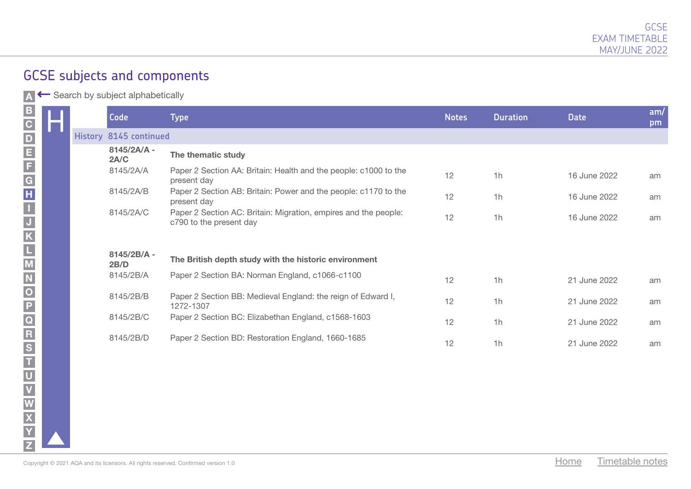A ← Search by subject alphabetically

|  | Code                   | <b>Type</b>                                                                                | <b>Notes</b> | <b>Duration</b> | <b>Date</b>             | am/<br>pm |
|--|------------------------|--------------------------------------------------------------------------------------------|--------------|-----------------|-------------------------|-----------|
|  | History 8145 continued |                                                                                            |              |                 |                         |           |
|  | 8145/2A/A -<br>2A/C    | The thematic study                                                                         |              |                 |                         |           |
|  | 8145/2A/A              | Paper 2 Section AA: Britain: Health and the people: c1000 to the<br>present day            | 12           | 1h              | 16 June 2022            | am        |
|  | 8145/2A/B              | Paper 2 Section AB: Britain: Power and the people: c1170 to the<br>present day             | 12           | 1h              | 16 June 2022            | am        |
|  | 8145/2A/C              | Paper 2 Section AC: Britain: Migration, empires and the people:<br>c790 to the present day | 12           | 1h              | 16 June 2022            | am        |
|  |                        |                                                                                            |              |                 |                         |           |
|  | 8145/2B/A -<br>2B/D    | The British depth study with the historic environment                                      |              |                 |                         |           |
|  | 8145/2B/A              | Paper 2 Section BA: Norman England, c1066-c1100                                            | 12           | 1h              | 21 June 2022            | am        |
|  | 8145/2B/B              | Paper 2 Section BB: Medieval England: the reign of Edward I,<br>1272-1307                  | 12           | 1h              | 21 June 2022            | am        |
|  | 8145/2B/C              | Paper 2 Section BC: Elizabethan England, c1568-1603                                        | 12           | 1h              | 21 June 2022            | am        |
|  | 8145/2B/D              | Paper 2 Section BD: Restoration England, 1660-1685                                         | 12           | 1h              | 21 June 2022            | am        |
|  |                        |                                                                                            |              |                 |                         |           |
|  |                        |                                                                                            |              |                 |                         |           |
|  |                        |                                                                                            |              |                 |                         |           |
|  |                        |                                                                                            |              |                 |                         |           |
|  |                        |                                                                                            |              |                 |                         |           |
|  |                        | Copyright © 2021 AQA and its licensors. All rights reserved. Confirmed version 1.0         |              |                 | Timetable notes<br>Home |           |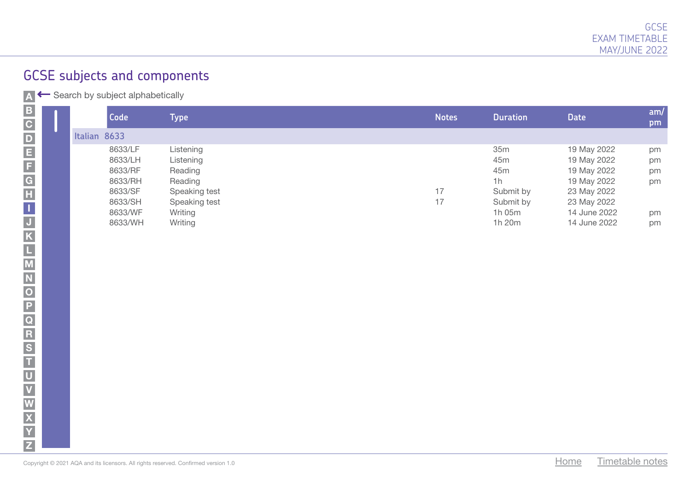|              | <b>Code</b> | Type i        | <b>Notes</b> | <b>Duration</b> | <b>Date</b>  | am/<br>pm |
|--------------|-------------|---------------|--------------|-----------------|--------------|-----------|
| Italian 8633 |             |               |              |                 |              |           |
|              | 8633/LF     | Listening     |              | 35m             | 19 May 2022  | pm        |
|              | 8633/LH     | Listening     |              | 45 <sub>m</sub> | 19 May 2022  | pm        |
|              | 8633/RF     | Reading       |              | 45 <sub>m</sub> | 19 May 2022  | pm        |
|              | 8633/RH     | Reading       |              | 1h              | 19 May 2022  | pm        |
|              | 8633/SF     | Speaking test | 17           | Submit by       | 23 May 2022  |           |
|              | 8633/SH     | Speaking test | 17           | Submit by       | 23 May 2022  |           |
|              | 8633/WF     | Writing       |              | 1h 05m          | 14 June 2022 | pm        |
|              | 8633/WH     | Writing       |              | 1h 20m          | 14 June 2022 | pm        |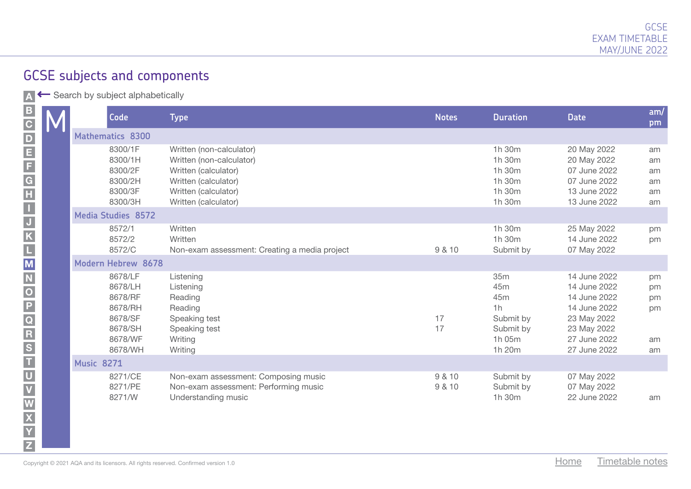A Search by subject alphabetically

|  | Code                    |                                                                                      | <b>Type</b>                                                                                                                                          | <b>Notes</b>     | <b>Duration</b>                                                                   | <b>Date</b>                                                                                                                | am/<br>pm                        |
|--|-------------------------|--------------------------------------------------------------------------------------|------------------------------------------------------------------------------------------------------------------------------------------------------|------------------|-----------------------------------------------------------------------------------|----------------------------------------------------------------------------------------------------------------------------|----------------------------------|
|  | <b>Mathematics 8300</b> |                                                                                      |                                                                                                                                                      |                  |                                                                                   |                                                                                                                            |                                  |
|  |                         | 8300/1F<br>8300/1H<br>8300/2F<br>8300/2H<br>8300/3F<br>8300/3H                       | Written (non-calculator)<br>Written (non-calculator)<br>Written (calculator)<br>Written (calculator)<br>Written (calculator)<br>Written (calculator) |                  | 1h 30m<br>1h 30m<br>1h 30m<br>1h 30m<br>1h 30m<br>1h 30m                          | 20 May 2022<br>20 May 2022<br>07 June 2022<br>07 June 2022<br>13 June 2022<br>13 June 2022                                 | am<br>am<br>am<br>am<br>am<br>am |
|  | Media Studies 8572      |                                                                                      |                                                                                                                                                      |                  |                                                                                   |                                                                                                                            |                                  |
|  |                         | 8572/1<br>8572/2<br>8572/C                                                           | Written<br>Written<br>Non-exam assessment: Creating a media project                                                                                  | 9 & 10           | 1h 30m<br>1h 30m<br>Submit by                                                     | 25 May 2022<br>14 June 2022<br>07 May 2022                                                                                 | pm<br>pm                         |
|  | Modern Hebrew 8678      |                                                                                      |                                                                                                                                                      |                  |                                                                                   |                                                                                                                            |                                  |
|  |                         | 8678/LF<br>8678/LH<br>8678/RF<br>8678/RH<br>8678/SF<br>8678/SH<br>8678/WF<br>8678/WH | Listening<br>Listening<br>Reading<br>Reading<br>Speaking test<br>Speaking test<br>Writing<br>Writing                                                 | 17<br>17         | 35m<br>45m<br>45 <sub>m</sub><br>1h<br>Submit by<br>Submit by<br>1h 05m<br>1h 20m | 14 June 2022<br>14 June 2022<br>14 June 2022<br>14 June 2022<br>23 May 2022<br>23 May 2022<br>27 June 2022<br>27 June 2022 | pm<br>pm<br>pm<br>pm<br>am<br>am |
|  | <b>Music 8271</b>       |                                                                                      |                                                                                                                                                      |                  |                                                                                   |                                                                                                                            |                                  |
|  |                         | 8271/CE<br>8271/PE<br>8271/W                                                         | Non-exam assessment: Composing music<br>Non-exam assessment: Performing music<br>Understanding music                                                 | 9 & 10<br>9 & 10 | Submit by<br>Submit by<br>1h 30m                                                  | 07 May 2022<br>07 May 2022<br>22 June 2022                                                                                 | am                               |

KLJNOQTWXVYZ

 $\frac{R}{R}$   $S$   $T$ 

 $\overline{U}$ V  $\overline{\mathbf{W}}$  $\overline{\mathbf{X}}$ Y  $\overline{z}$ 

M<br>N

 $\overline{\overline{o}}$ 

 $\frac{\overline{P}}{\overline{Q}}$ 

A\_B\_C\_D\_E\_F\_G\_H\_I -\_J\_K\_L\_M\_N\_O\_P\_Q\_R\_S\_T\_U

 $|B|$ 

C<br>
E<br>
F<br>
E<br>
F

 $\begin{array}{c}\n\hline\n\text{G} \\
\text{H}\n\end{array}$ 

 $\blacksquare$  $\overline{J}$  $\overline{\mathsf{K}}$  $\Box$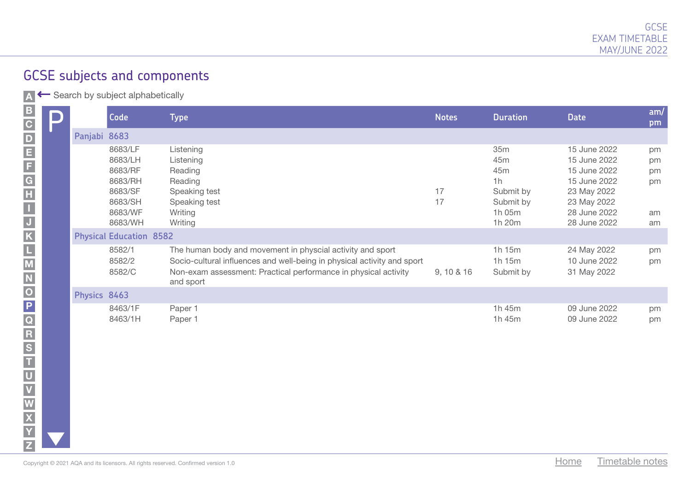A ← Search by subject alphabetically

|                                                                      |              | Code                                                                                 | <b>Type</b>                                                                                                                                                                                                           | <b>Notes</b> | <b>Duration</b>                                                       | <b>Date</b>                                                                                                                | am/<br>pm                        |
|----------------------------------------------------------------------|--------------|--------------------------------------------------------------------------------------|-----------------------------------------------------------------------------------------------------------------------------------------------------------------------------------------------------------------------|--------------|-----------------------------------------------------------------------|----------------------------------------------------------------------------------------------------------------------------|----------------------------------|
|                                                                      | Panjabi 8683 |                                                                                      |                                                                                                                                                                                                                       |              |                                                                       |                                                                                                                            |                                  |
|                                                                      |              | 8683/LF<br>8683/LH<br>8683/RF<br>8683/RH<br>8683/SF<br>8683/SH<br>8683/WF<br>8683/WH | Listening<br>Listening<br>Reading<br>Reading<br>Speaking test<br>Speaking test<br>Writing<br>Writing                                                                                                                  | 17<br>17     | 35m<br>45m<br>45m<br>1h<br>Submit by<br>Submit by<br>1h 05m<br>1h 20m | 15 June 2022<br>15 June 2022<br>15 June 2022<br>15 June 2022<br>23 May 2022<br>23 May 2022<br>28 June 2022<br>28 June 2022 | pm<br>pm<br>pm<br>pm<br>am<br>am |
|                                                                      |              | <b>Physical Education 8582</b>                                                       |                                                                                                                                                                                                                       |              |                                                                       |                                                                                                                            |                                  |
|                                                                      |              | 8582/1<br>8582/2<br>8582/C                                                           | The human body and movement in physcial activity and sport<br>Socio-cultural influences and well-being in physical activity and sport<br>Non-exam assessment: Practical performance in physical activity<br>and sport | 9, 10 & 16   | 1h 15m<br>1h 15m<br>Submit by                                         | 24 May 2022<br>10 June 2022<br>31 May 2022                                                                                 | pm<br>pm                         |
|                                                                      | Physics 8463 |                                                                                      |                                                                                                                                                                                                                       |              |                                                                       |                                                                                                                            |                                  |
| < ×  동  <  ㄷ  ㄱ  ∽  ㄲ  ㅇ  ㅁ ㅇ ㄹ  좀  ㄷ  ㅈ  ㄴ  ㅜ  ㅍ  ᡗ   ㄲ  ㄲ  ㅁ  ㅇ  ㄸ |              | 8463/1F<br>8463/1H                                                                   | Paper 1<br>Paper 1                                                                                                                                                                                                    |              | 1h 45m<br>1h 45m                                                      | 09 June 2022<br>09 June 2022                                                                                               | pm<br>pm                         |
|                                                                      |              |                                                                                      | Copyright © 2021 AQA and its licensors. All rights reserved. Confirmed version 1.0                                                                                                                                    |              |                                                                       | Timetable notes<br>Home                                                                                                    |                                  |

M

U

W X

Y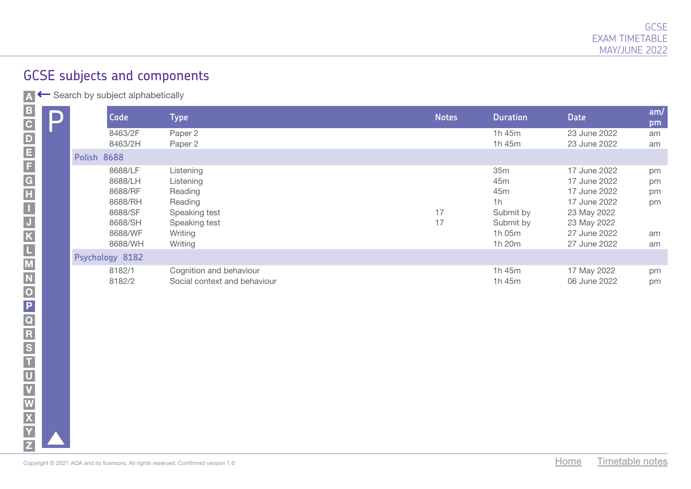| D | <b>Code</b>        | Type                         | <b>Notes</b> | <b>Duration</b> | <b>Date</b>  | am/<br>pm |
|---|--------------------|------------------------------|--------------|-----------------|--------------|-----------|
|   | 8463/2F            | Paper 2                      |              | 1h 45m          | 23 June 2022 | am        |
|   | 8463/2H            | Paper 2                      |              | 1h 45m          | 23 June 2022 | am        |
|   | <b>Polish 8688</b> |                              |              |                 |              |           |
|   | 8688/LF            | Listening                    |              | 35m             | 17 June 2022 | pm        |
|   | 8688/LH            | Listening                    |              | 45 <sub>m</sub> | 17 June 2022 | pm        |
|   | 8688/RF            | Reading                      |              | 45 <sub>m</sub> | 17 June 2022 | pm        |
|   | 8688/RH            | Reading                      |              | 1h              | 17 June 2022 | pm        |
|   | 8688/SF            | Speaking test                | 17           | Submit by       | 23 May 2022  |           |
|   | 8688/SH            | Speaking test                | 17           | Submit by       | 23 May 2022  |           |
|   | 8688/WF            | Writing                      |              | 1h 05m          | 27 June 2022 | am        |
|   | 8688/WH            | Writing                      |              | 1h 20m          | 27 June 2022 | am        |
|   | Psychology 8182    |                              |              |                 |              |           |
|   | 8182/1             | Cognition and behaviour      |              | 1 $h$ 45 $m$    | 17 May 2022  | pm        |
|   | 8182/2             | Social context and behaviour |              | 1h 45m          | 06 June 2022 | pm        |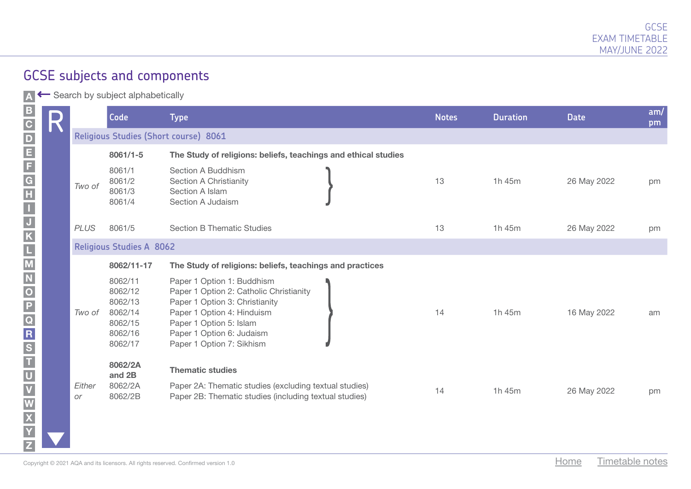A ← Search by subject alphabetically

M

W X

Y Z

|  |              | <b>Code</b>                                                               | <b>Type</b>                                                                                                                                                                                                                | <b>Notes</b> | <b>Duration</b> | <b>Date</b>             | am/<br>pm |
|--|--------------|---------------------------------------------------------------------------|----------------------------------------------------------------------------------------------------------------------------------------------------------------------------------------------------------------------------|--------------|-----------------|-------------------------|-----------|
|  |              |                                                                           | Religious Studies (Short course) 8061                                                                                                                                                                                      |              |                 |                         |           |
|  |              | $8061/1 - 5$                                                              | The Study of religions: beliefs, teachings and ethical studies                                                                                                                                                             |              |                 |                         |           |
|  | Two of       | 8061/1<br>8061/2<br>8061/3<br>8061/4                                      | Section A Buddhism<br>Section A Christianity<br>Section A Islam<br>Section A Judaism                                                                                                                                       | 13           | 1h 45m          | 26 May 2022             | pm        |
|  | <b>PLUS</b>  | 8061/5                                                                    | <b>Section B Thematic Studies</b>                                                                                                                                                                                          | 13           | 1h 45m          | 26 May 2022             | pm        |
|  |              | <b>Religious Studies A 8062</b>                                           |                                                                                                                                                                                                                            |              |                 |                         |           |
|  |              | 8062/11-17                                                                | The Study of religions: beliefs, teachings and practices                                                                                                                                                                   |              |                 |                         |           |
|  | Two of       | 8062/11<br>8062/12<br>8062/13<br>8062/14<br>8062/15<br>8062/16<br>8062/17 | Paper 1 Option 1: Buddhism<br>Paper 1 Option 2: Catholic Christianity<br>Paper 1 Option 3: Christianity<br>Paper 1 Option 4: Hinduism<br>Paper 1 Option 5: Islam<br>Paper 1 Option 6: Judaism<br>Paper 1 Option 7: Sikhism | 14           | 1h 45m          | 16 May 2022             | am        |
|  | Either<br>or | 8062/2A<br>and 2B<br>8062/2A<br>8062/2B                                   | <b>Thematic studies</b><br>Paper 2A: Thematic studies (excluding textual studies)<br>Paper 2B: Thematic studies (including textual studies)                                                                                | 14           | 1h 45m          | 26 May 2022             | pm        |
|  |              |                                                                           | Copyright $\odot$ 2021 AQA and its licensors. All rights reserved. Confirmed version 1.0                                                                                                                                   |              |                 | Timetable notes<br>Home |           |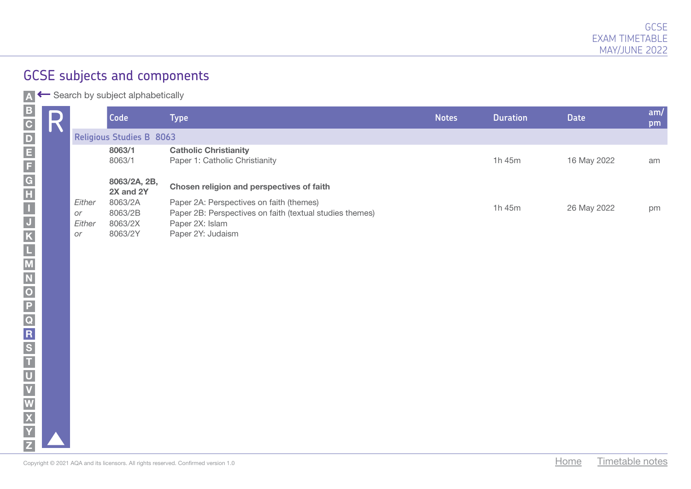| R |                              | Code                                     | <b>Type</b>                                                                                                                                  | <b>Notes</b> | <b>Duration</b> | <b>Date</b> | am/<br>pm |
|---|------------------------------|------------------------------------------|----------------------------------------------------------------------------------------------------------------------------------------------|--------------|-----------------|-------------|-----------|
|   |                              | <b>Religious Studies B 8063</b>          |                                                                                                                                              |              |                 |             |           |
|   |                              | 8063/1<br>8063/1                         | <b>Catholic Christianity</b><br>Paper 1: Catholic Christianity                                                                               |              | 1h 45m          | 16 May 2022 | am        |
|   |                              | 8063/2A, 2B,<br>2X and 2Y                | Chosen religion and perspectives of faith                                                                                                    |              |                 |             |           |
|   | Either<br>or<br>Either<br>or | 8063/2A<br>8063/2B<br>8063/2X<br>8063/2Y | Paper 2A: Perspectives on faith (themes)<br>Paper 2B: Perspectives on faith (textual studies themes)<br>Paper 2X: Islam<br>Paper 2Y: Judaism |              | 1h 45m          | 26 May 2022 | pm        |
|   |                              |                                          |                                                                                                                                              |              |                 |             |           |
|   |                              |                                          |                                                                                                                                              |              |                 |             |           |
|   |                              |                                          |                                                                                                                                              |              |                 |             |           |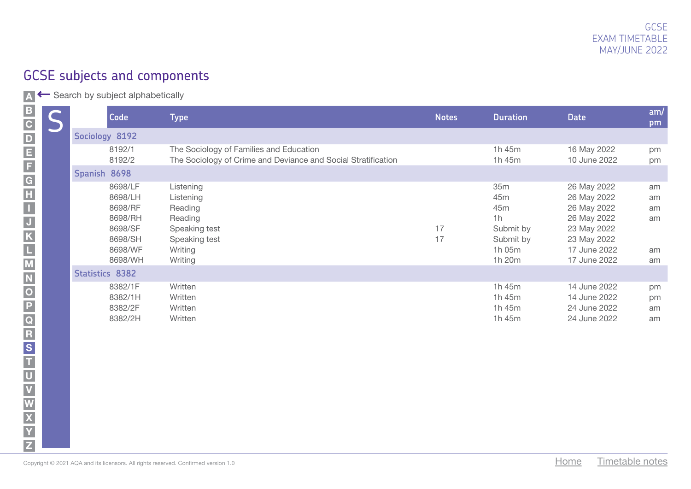A ← Search by subject alphabetically

|                                                                                               | D | Code                                                                                 | <b>Type</b>                                                                                              | <b>Notes</b> | <b>Duration</b>                                                       | <b>Date</b>                                                                                                            | am/<br>pm                        |
|-----------------------------------------------------------------------------------------------|---|--------------------------------------------------------------------------------------|----------------------------------------------------------------------------------------------------------|--------------|-----------------------------------------------------------------------|------------------------------------------------------------------------------------------------------------------------|----------------------------------|
|                                                                                               |   | Sociology 8192                                                                       |                                                                                                          |              |                                                                       |                                                                                                                        |                                  |
|                                                                                               |   | 8192/1<br>8192/2                                                                     | The Sociology of Families and Education<br>The Sociology of Crime and Deviance and Social Stratification |              | 1h 45m<br>1h 45m                                                      | 16 May 2022<br>10 June 2022                                                                                            | pm<br>pm                         |
|                                                                                               |   | Spanish 8698                                                                         |                                                                                                          |              |                                                                       |                                                                                                                        |                                  |
|                                                                                               |   | 8698/LF<br>8698/LH<br>8698/RF<br>8698/RH<br>8698/SF<br>8698/SH<br>8698/WF<br>8698/WH | Listening<br>Listening<br>Reading<br>Reading<br>Speaking test<br>Speaking test<br>Writing<br>Writing     | 17<br>17     | 35m<br>45m<br>45m<br>1h<br>Submit by<br>Submit by<br>1h 05m<br>1h 20m | 26 May 2022<br>26 May 2022<br>26 May 2022<br>26 May 2022<br>23 May 2022<br>23 May 2022<br>17 June 2022<br>17 June 2022 | am<br>am<br>am<br>am<br>am<br>am |
|                                                                                               |   | <b>Statistics 8382</b>                                                               |                                                                                                          |              |                                                                       |                                                                                                                        |                                  |
| N   Y   X   S   Y   C   H   M   D   D   O   Z   S   L   X   Y   H   D   M   M   M   D   O   W |   | 8382/1F<br>8382/1H<br>8382/2F<br>8382/2H                                             | Written<br>Written<br>Written<br>Written                                                                 |              | 1h 45m<br>1h 45m<br>1h 45m<br>1h 45m                                  | 14 June 2022<br>14 June 2022<br>24 June 2022<br>24 June 2022                                                           | pm<br>pm<br>am<br>am             |
|                                                                                               |   | Copyright © 2021 AQA and its licensors. All rights reserved. Confirmed version 1.0   |                                                                                                          |              |                                                                       | Home<br>Timetable notes                                                                                                |                                  |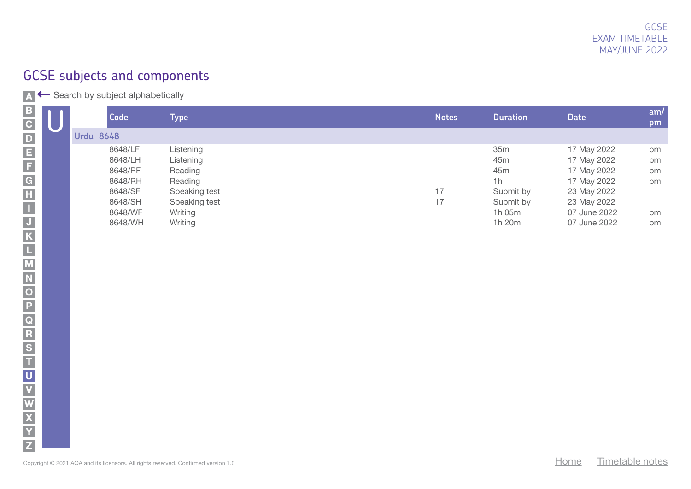| <b>Code</b>      | ${\sf Type}$ ${\sf I}$ | <b>Notes</b> | <b>Duration</b> | <b>Date</b>  | am/<br>pm |
|------------------|------------------------|--------------|-----------------|--------------|-----------|
| <b>Urdu 8648</b> |                        |              |                 |              |           |
| 8648/LF          | Listening              |              | 35m             | 17 May 2022  | pm        |
| 8648/LH          | Listening              |              | 45m             | 17 May 2022  | pm        |
| 8648/RF          | Reading                |              | 45m             | 17 May 2022  | pm        |
| 8648/RH          | Reading                |              | 1h              | 17 May 2022  | pm        |
| 8648/SF          | Speaking test          | 17           | Submit by       | 23 May 2022  |           |
| 8648/SH          | Speaking test          | 17           | Submit by       | 23 May 2022  |           |
| 8648/WF          | Writing                |              | 1h 05m          | 07 June 2022 | pm        |
| 8648/WH          | Writing                |              | 1h 20m          | 07 June 2022 | pm        |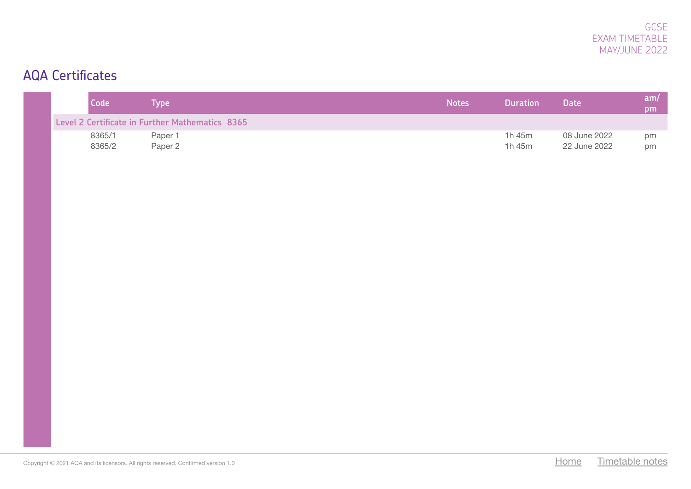## AQA Certificates

| Code             | Type                                            | <b>Notes</b> | <b>Duration</b>  | <b>Date</b>                  | am/<br>pm |
|------------------|-------------------------------------------------|--------------|------------------|------------------------------|-----------|
|                  | Level 2 Certificate in Further Mathematics 8365 |              |                  |                              |           |
| 8365/1<br>8365/2 | Paper 1<br>Paper 2                              |              | 1h 45m<br>1h 45m | 08 June 2022<br>22 June 2022 | pm<br>pm  |
|                  |                                                 |              |                  |                              |           |
|                  |                                                 |              |                  |                              |           |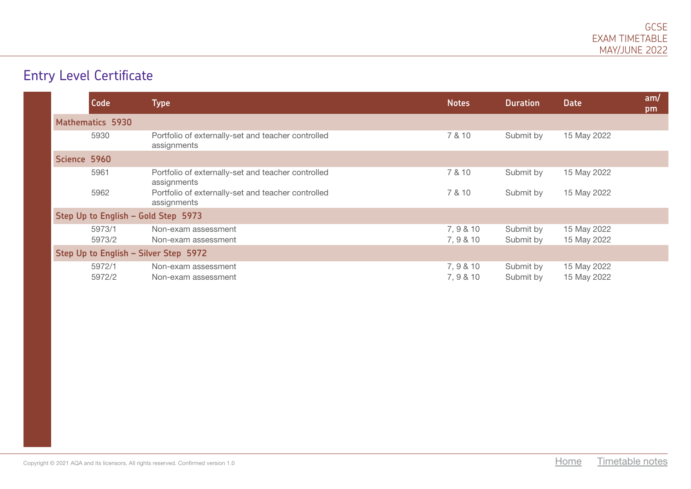# Entry Level Certificate

| Code                                | <b>Type</b>                                                       | <b>Notes</b>           | <b>Duration</b>        | <b>Date</b>                | am/<br>pm |
|-------------------------------------|-------------------------------------------------------------------|------------------------|------------------------|----------------------------|-----------|
| <b>Mathematics 5930</b>             |                                                                   |                        |                        |                            |           |
| 5930                                | Portfolio of externally-set and teacher controlled<br>assignments | 7 & 10                 | Submit by              | 15 May 2022                |           |
| Science 5960                        |                                                                   |                        |                        |                            |           |
| 5961                                | Portfolio of externally-set and teacher controlled<br>assignments | 7 & 10                 | Submit by              | 15 May 2022                |           |
| 5962                                | Portfolio of externally-set and teacher controlled<br>assignments | 7 & 10                 | Submit by              | 15 May 2022                |           |
| Step Up to English - Gold Step 5973 |                                                                   |                        |                        |                            |           |
| 5973/1                              | Non-exam assessment                                               | 7, 9 & 10              | Submit by              | 15 May 2022                |           |
| 5973/2                              | Non-exam assessment                                               | 7, 9 & 10              | Submit by              | 15 May 2022                |           |
|                                     | Step Up to English - Silver Step 5972                             |                        |                        |                            |           |
| 5972/1<br>5972/2                    | Non-exam assessment<br>Non-exam assessment                        | 7, 9 & 10<br>7, 9 & 10 | Submit by<br>Submit by | 15 May 2022<br>15 May 2022 |           |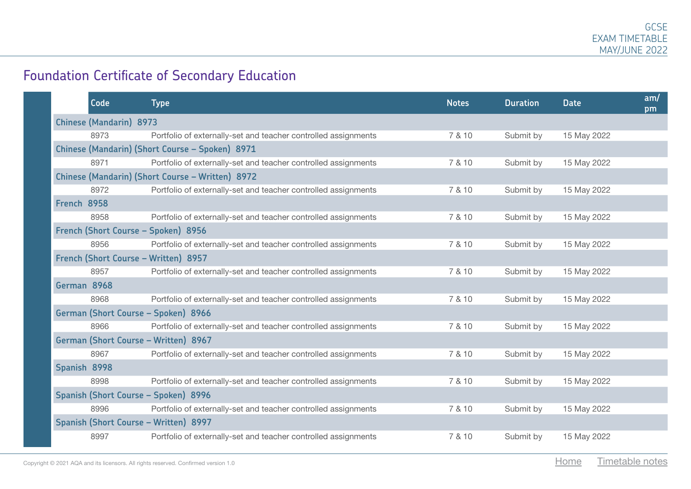## Foundation Certificate of Secondary Education

| Code                           | <b>Type</b>                                                    | <b>Notes</b> | <b>Duration</b> | <b>Date</b> | am/<br>pm |
|--------------------------------|----------------------------------------------------------------|--------------|-----------------|-------------|-----------|
| <b>Chinese (Mandarin) 8973</b> |                                                                |              |                 |             |           |
| 8973                           | Portfolio of externally-set and teacher controlled assignments | 7 & 10       | Submit by       | 15 May 2022 |           |
|                                | Chinese (Mandarin) (Short Course - Spoken) 8971                |              |                 |             |           |
| 8971                           | Portfolio of externally-set and teacher controlled assignments | 7 & 10       | Submit by       | 15 May 2022 |           |
|                                | Chinese (Mandarin) (Short Course - Written) 8972               |              |                 |             |           |
| 8972                           | Portfolio of externally-set and teacher controlled assignments | 7 & 10       | Submit by       | 15 May 2022 |           |
| French 8958                    |                                                                |              |                 |             |           |
| 8958                           | Portfolio of externally-set and teacher controlled assignments | 7 & 10       | Submit by       | 15 May 2022 |           |
|                                | French (Short Course - Spoken) 8956                            |              |                 |             |           |
| 8956                           | Portfolio of externally-set and teacher controlled assignments | 7 & 10       | Submit by       | 15 May 2022 |           |
|                                | French (Short Course - Written) 8957                           |              |                 |             |           |
| 8957                           | Portfolio of externally-set and teacher controlled assignments | 7 & 10       | Submit by       | 15 May 2022 |           |
| German 8968                    |                                                                |              |                 |             |           |
| 8968                           | Portfolio of externally-set and teacher controlled assignments | 7 & 10       | Submit by       | 15 May 2022 |           |
|                                | German (Short Course - Spoken) 8966                            |              |                 |             |           |
| 8966                           | Portfolio of externally-set and teacher controlled assignments | 7 & 10       | Submit by       | 15 May 2022 |           |
|                                | German (Short Course - Written) 8967                           |              |                 |             |           |
| 8967                           | Portfolio of externally-set and teacher controlled assignments | 7 & 10       | Submit by       | 15 May 2022 |           |
| Spanish 8998                   |                                                                |              |                 |             |           |
| 8998                           | Portfolio of externally-set and teacher controlled assignments | 7 & 10       | Submit by       | 15 May 2022 |           |
|                                | Spanish (Short Course - Spoken) 8996                           |              |                 |             |           |
| 8996                           | Portfolio of externally-set and teacher controlled assignments | 7 & 10       | Submit by       | 15 May 2022 |           |
|                                | Spanish (Short Course - Written) 8997                          |              |                 |             |           |
| 8997                           | Portfolio of externally-set and teacher controlled assignments | 7 & 10       | Submit by       | 15 May 2022 |           |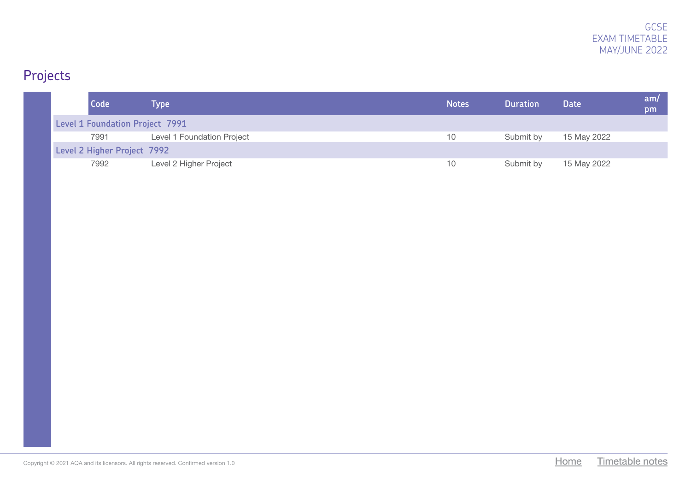# Projects

|  | Code                                   | Type                       | <b>Notes</b> | <b>Duration</b> | <b>Date</b> | am/<br>pm |
|--|----------------------------------------|----------------------------|--------------|-----------------|-------------|-----------|
|  | <b>Level 1 Foundation Project 7991</b> |                            |              |                 |             |           |
|  | 7991                                   | Level 1 Foundation Project | 10           | Submit by       | 15 May 2022 |           |
|  | Level 2 Higher Project 7992            |                            |              |                 |             |           |
|  | 7992                                   | Level 2 Higher Project     | 10           | Submit by       | 15 May 2022 |           |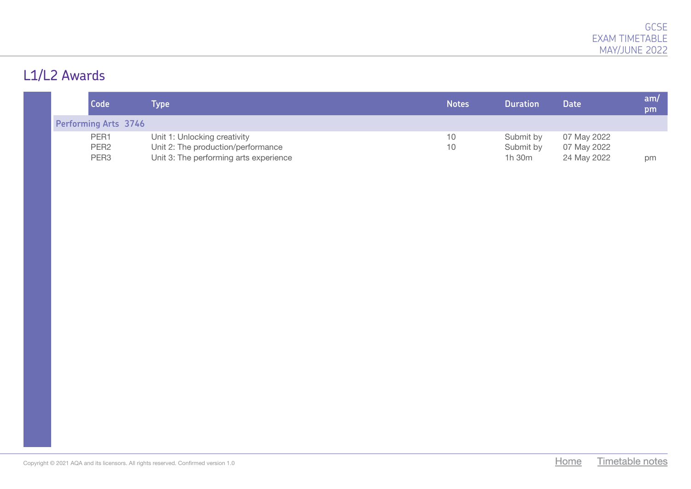# L1/L2 Awards

| Code                        | <b>Type</b>                            | <b>Notes</b> | <b>Duration</b> | <b>Date</b> | am/<br>pm |
|-----------------------------|----------------------------------------|--------------|-----------------|-------------|-----------|
| <b>Performing Arts 3746</b> |                                        |              |                 |             |           |
| PER1                        | Unit 1: Unlocking creativity           | 10           | Submit by       | 07 May 2022 |           |
| PER <sub>2</sub>            | Unit 2: The production/performance     | 10           | Submit by       | 07 May 2022 |           |
| PER <sub>3</sub>            | Unit 3: The performing arts experience |              | 1h 30m          | 24 May 2022 | рm        |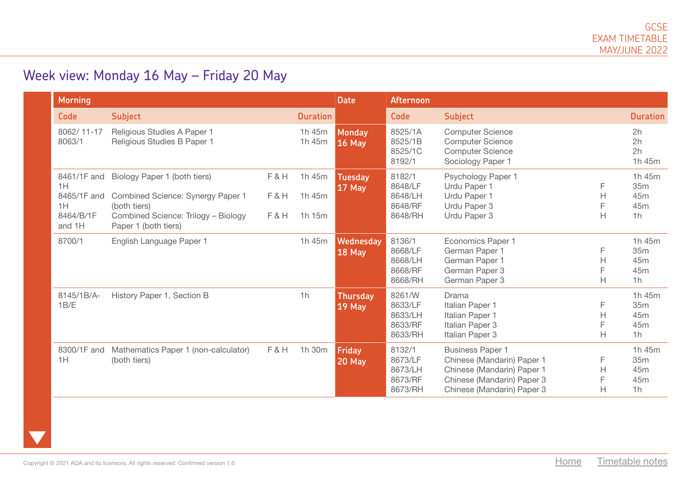## Week view: Monday 16 May – Friday 20 May

| <b>Morning</b>                                                |                                                                                                                                                  |                   |                                 | <b>Date</b>                     | Afternoon                                          |                                                                                                                                                 |                   |                                                           |
|---------------------------------------------------------------|--------------------------------------------------------------------------------------------------------------------------------------------------|-------------------|---------------------------------|---------------------------------|----------------------------------------------------|-------------------------------------------------------------------------------------------------------------------------------------------------|-------------------|-----------------------------------------------------------|
| <b>Code</b>                                                   | <b>Subject</b>                                                                                                                                   |                   | <b>Duration</b>                 |                                 | Code                                               | <b>Subject</b>                                                                                                                                  |                   | <b>Duration</b>                                           |
| 8062/11-17<br>8063/1                                          | Religious Studies A Paper 1<br>Religious Studies B Paper 1                                                                                       |                   | 1h 45m<br>1h 45m                | <b>Monday</b><br><b>16 May</b>  | 8525/1A<br>8525/1B<br>8525/1C<br>8192/1            | <b>Computer Science</b><br><b>Computer Science</b><br><b>Computer Science</b><br>Sociology Paper 1                                              |                   | 2h<br>2h<br>2h<br>1h 45m                                  |
| 8461/1F and<br>1H<br>8465/1F and<br>1H<br>8464/B/1F<br>and 1H | Biology Paper 1 (both tiers)<br>Combined Science: Synergy Paper 1<br>(both tiers)<br>Combined Science: Trilogy - Biology<br>Paper 1 (both tiers) | F&H<br>F&H<br>F&H | 1h 45m<br>1h 45m<br>$1h$ 15 $m$ | <b>Tuesday</b><br><b>17 May</b> | 8182/1<br>8648/LF<br>8648/LH<br>8648/RF<br>8648/RH | Psychology Paper 1<br>Urdu Paper 1<br>Urdu Paper 1<br>Urdu Paper 3<br>Urdu Paper 3                                                              | H<br>Н            | 1h 45m<br>35m<br>45m<br>45 <sub>m</sub><br>1 <sub>h</sub> |
| 8700/1                                                        | English Language Paper 1                                                                                                                         |                   | 1h 45m                          | Wednesday<br><b>18 May</b>      | 8136/1<br>8668/LF<br>8668/LH<br>8668/RF<br>8668/RH | <b>Economics Paper 1</b><br>German Paper 1<br>German Paper 1<br>German Paper 3<br>German Paper 3                                                | F<br>H.<br>F<br>H | 1h 45m<br>35 <sub>m</sub><br>45 <sub>m</sub><br>45m<br>1h |
| 8145/1B/A-<br>1B/E                                            | History Paper 1, Section B                                                                                                                       |                   | 1h                              | <b>Thursday</b><br>$19$ May     | 8261/W<br>8633/LF<br>8633/LH<br>8633/RF<br>8633/RH | Drama<br>Italian Paper 1<br>Italian Paper 1<br>Italian Paper 3<br>Italian Paper 3                                                               | F<br>H<br>F<br>H  | 1h 45m<br>35m<br>45m<br>45 <sub>m</sub><br>1 <sub>h</sub> |
| 8300/1F and<br>1H                                             | Mathematics Paper 1 (non-calculator)<br>(both tiers)                                                                                             | F&H               | 1h 30m                          | Friday<br><b>20 May</b>         | 8132/1<br>8673/LF<br>8673/LH<br>8673/RF<br>8673/RH | <b>Business Paper 1</b><br>Chinese (Mandarin) Paper 1<br>Chinese (Mandarin) Paper 1<br>Chinese (Mandarin) Paper 3<br>Chinese (Mandarin) Paper 3 | F<br>Н<br>F<br>H  | 1h 45m<br>35m<br>45m<br>45 <sub>m</sub><br>1h             |

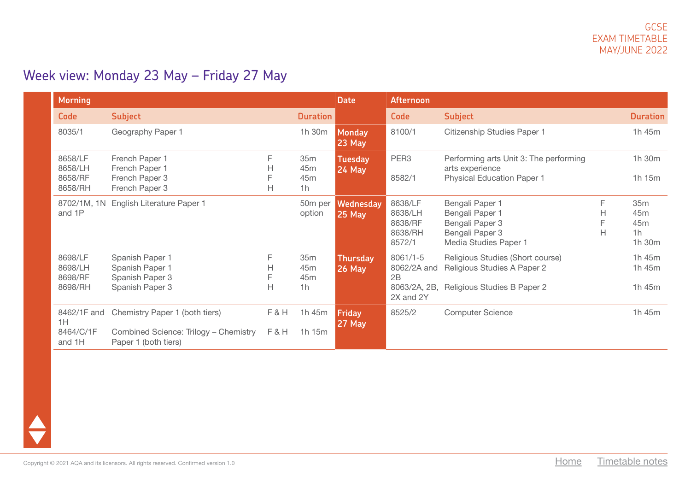## Week view: Monday 23 May – Friday 27 May

| <b>Morning</b>                           |                                                                                                 |                  |                                                                         | <b>Date</b>                     | <b>Afternoon</b>                                               |                                                                                                   |             |                                                                       |
|------------------------------------------|-------------------------------------------------------------------------------------------------|------------------|-------------------------------------------------------------------------|---------------------------------|----------------------------------------------------------------|---------------------------------------------------------------------------------------------------|-------------|-----------------------------------------------------------------------|
| <b>Code</b>                              | <b>Subject</b>                                                                                  |                  | <b>Duration</b>                                                         |                                 | <b>Code</b>                                                    | <b>Subject</b>                                                                                    |             | <b>Duration</b>                                                       |
| 8035/1                                   | Geography Paper 1                                                                               |                  | 1h 30m                                                                  | <b>Monday</b><br><b>23 May</b>  | 8100/1                                                         | Citizenship Studies Paper 1                                                                       |             | 1h 45m                                                                |
| 8658/LF<br>8658/LH<br>8658/RF<br>8658/RH | French Paper 1<br>French Paper 1<br>French Paper 3<br>French Paper 3                            | F<br>Н<br>F<br>Н | 35 <sub>m</sub><br>45 <sub>m</sub><br>45 <sub>m</sub><br>1 <sub>h</sub> | <b>Tuesday</b><br><b>24 May</b> | PER <sub>3</sub><br>8582/1                                     | Performing arts Unit 3: The performing<br>arts experience<br><b>Physical Education Paper 1</b>    |             | 1h 30m<br>1h 15m                                                      |
| 8702/1M, 1N<br>and 1P                    | <b>English Literature Paper 1</b>                                                               |                  | 50m per<br>option                                                       | Wednesday<br><b>25 May</b>      | 8638/LF<br>8638/LH<br>8638/RF<br>8638/RH<br>8572/1             | Bengali Paper 1<br>Bengali Paper 1<br>Bengali Paper 3<br>Bengali Paper 3<br>Media Studies Paper 1 | F<br>н<br>Н | 35m<br>45 <sub>m</sub><br>45 <sub>m</sub><br>1 <sub>h</sub><br>1h 30m |
| 8698/LF<br>8698/LH<br>8698/RF<br>8698/RH | Spanish Paper 1<br>Spanish Paper 1<br>Spanish Paper 3<br>Spanish Paper 3                        | F<br>Н<br>F<br>H | 35m<br>45m<br>45m<br>1 <sub>h</sub>                                     | <b>Thursday</b><br>$26$ May     | $8061/1 - 5$<br>8062/2A and<br>2B<br>8063/2A, 2B,<br>2X and 2Y | Religious Studies (Short course)<br>Religious Studies A Paper 2<br>Religious Studies B Paper 2    |             | 1h 45m<br>1h 45m<br>1h 45m                                            |
| 8462/1F and<br>1H<br>8464/C/1F<br>and 1H | Chemistry Paper 1 (both tiers)<br>Combined Science: Trilogy - Chemistry<br>Paper 1 (both tiers) | F&H<br>F&H       | 1h 45m<br>1h 15m                                                        | <b>Friday</b><br><b>27 May</b>  | 8525/2                                                         | <b>Computer Science</b>                                                                           |             | 1h 45m                                                                |

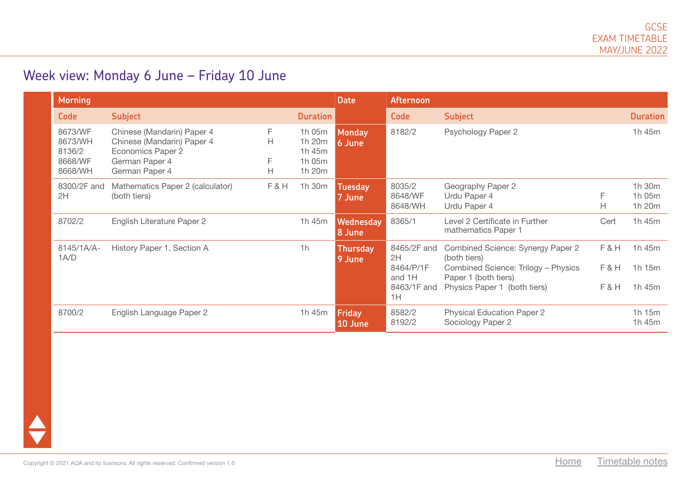#### Week view: Monday 6 June – Friday 10 June

| <b>Morning</b>                                     |                                                                                                                   |                  |                                                | <b>Date</b>                | Afternoon                                               |                                                                                                                                                  |                   |                            |
|----------------------------------------------------|-------------------------------------------------------------------------------------------------------------------|------------------|------------------------------------------------|----------------------------|---------------------------------------------------------|--------------------------------------------------------------------------------------------------------------------------------------------------|-------------------|----------------------------|
| <b>Code</b>                                        | <b>Subject</b>                                                                                                    |                  | <b>Duration</b>                                |                            | <b>Code</b>                                             | <b>Subject</b>                                                                                                                                   |                   | <b>Duration</b>            |
| 8673/WF<br>8673/WH<br>8136/2<br>8668/WF<br>8668/WH | Chinese (Mandarin) Paper 4<br>Chinese (Mandarin) Paper 4<br>Economics Paper 2<br>German Paper 4<br>German Paper 4 | F<br>H<br>F<br>н | 1h 05m<br>1h 20m<br>1h 45m<br>1h 05m<br>1h 20m | Monday<br>6 June           | 8182/2                                                  | Psychology Paper 2                                                                                                                               |                   | 1h 45m                     |
| 8300/2F and<br>2H                                  | Mathematics Paper 2 (calculator)<br>(both tiers)                                                                  | F&H              | 1h 30m                                         | <b>Tuesday</b><br>7 June   | 8035/2<br>8648/WF<br>8648/WH                            | Geography Paper 2<br>Urdu Paper 4<br>Urdu Paper 4                                                                                                | F<br>H            | 1h 30m<br>1h 05m<br>1h 20m |
| 8702/2                                             | English Literature Paper 2                                                                                        |                  | 1h 45m                                         | <b>Wednesday</b><br>8 June | 8365/1                                                  | Level 2 Certificate in Further<br>mathematics Paper 1                                                                                            | Cert              | 1h 45m                     |
| 8145/1A/A-<br>1A/D                                 | History Paper 1, Section A                                                                                        |                  | 1 <sub>h</sub>                                 | <b>Thursday</b><br>9 June  | 8465/2F and<br>2H<br>8464/P/1F<br>and 1H<br>8463/1F and | Combined Science: Synergy Paper 2<br>(both tiers)<br>Combined Science: Trilogy - Physics<br>Paper 1 (both tiers)<br>Physics Paper 1 (both tiers) | F&H<br>F&H<br>F&H | 1h 45m<br>1h 15m<br>1h 45m |
| 8700/2                                             | English Language Paper 2                                                                                          |                  | 1h 45m                                         | Friday<br>10 June          | 1H<br>8582/2<br>8192/2                                  | <b>Physical Education Paper 2</b><br>Sociology Paper 2                                                                                           |                   | 1h 15m<br>1h 45m           |

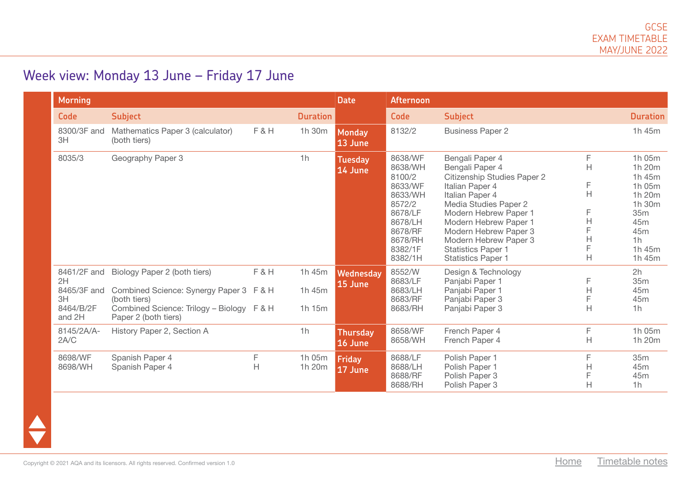## Week view: Monday 13 June – Friday 17 June

| Morning                                                       |                                                                                                                                                              |        |                            | <b>Date</b>                 | <b>Afternoon</b>                                                                                                               |                                                                                                                                                                                                                                                                                                |                                                   |                                                                                                                     |
|---------------------------------------------------------------|--------------------------------------------------------------------------------------------------------------------------------------------------------------|--------|----------------------------|-----------------------------|--------------------------------------------------------------------------------------------------------------------------------|------------------------------------------------------------------------------------------------------------------------------------------------------------------------------------------------------------------------------------------------------------------------------------------------|---------------------------------------------------|---------------------------------------------------------------------------------------------------------------------|
| Code                                                          | <b>Subject</b>                                                                                                                                               |        | <b>Duration</b>            |                             | Code                                                                                                                           | <b>Subject</b>                                                                                                                                                                                                                                                                                 |                                                   | <b>Duration</b>                                                                                                     |
| 8300/3F and<br>3H                                             | Mathematics Paper 3 (calculator)<br>(both tiers)                                                                                                             | F&H    | 1h 30m                     | <b>Monday</b><br>13 June    | 8132/2                                                                                                                         | <b>Business Paper 2</b>                                                                                                                                                                                                                                                                        |                                                   | 1h 45m                                                                                                              |
| 8035/3                                                        | Geography Paper 3                                                                                                                                            |        | 1 <sub>h</sub>             | <b>Tuesday</b><br>14 June   | 8638/WF<br>8638/WH<br>8100/2<br>8633/WF<br>8633/WH<br>8572/2<br>8678/LF<br>8678/LH<br>8678/RF<br>8678/RH<br>8382/1F<br>8382/1H | Bengali Paper 4<br>Bengali Paper 4<br>Citizenship Studies Paper 2<br>Italian Paper 4<br>Italian Paper 4<br>Media Studies Paper 2<br>Modern Hebrew Paper 1<br>Modern Hebrew Paper 1<br>Modern Hebrew Paper 3<br>Modern Hebrew Paper 3<br><b>Statistics Paper 1</b><br><b>Statistics Paper 1</b> | F<br>$\overline{H}$<br>F<br>H<br>F<br>H<br>Н<br>H | 1h 05m<br>1h 20m<br>1h 45m<br>1h 05m<br>1h 20m<br>1h 30m<br>35m<br>45m<br>45m<br>1 <sub>h</sub><br>1h 45m<br>1h 45m |
| 8461/2F and<br>2H<br>8465/3F and<br>3H<br>8464/B/2F<br>and 2H | Biology Paper 2 (both tiers)<br>Combined Science: Synergy Paper 3 F & H<br>(both tiers)<br>Combined Science: Trilogy - Biology F & H<br>Paper 2 (both tiers) | F&H    | 1h 45m<br>1h 45m<br>1h 15m | <b>Wednesday</b><br>15 June | 8552/W<br>8683/LF<br>8683/LH<br>8683/RF<br>8683/RH                                                                             | Design & Technology<br>Panjabi Paper 1<br>Panjabi Paper 1<br>Panjabi Paper 3<br>Panjabi Paper 3                                                                                                                                                                                                | F<br>Н<br>Н                                       | 2h<br>35m<br>45m<br>45m<br>1h                                                                                       |
| 8145/2A/A-<br>2A/C                                            | History Paper 2, Section A                                                                                                                                   |        | 1h                         | <b>Thursday</b><br>16 June  | 8658/WF<br>8658/WH                                                                                                             | French Paper 4<br>French Paper 4                                                                                                                                                                                                                                                               | F<br>H                                            | 1h 05m<br>1h 20m                                                                                                    |
| 8698/WF<br>8698/WH                                            | Spanish Paper 4<br>Spanish Paper 4                                                                                                                           | F<br>Н | 1h 05m<br>1h 20m           | Friday<br>17 June           | 8688/LF<br>8688/LH<br>8688/RF<br>8688/RH                                                                                       | Polish Paper 1<br>Polish Paper 1<br>Polish Paper 3<br>Polish Paper 3                                                                                                                                                                                                                           | F<br>H<br>H                                       | 35m<br>45m<br>45m<br>1h                                                                                             |

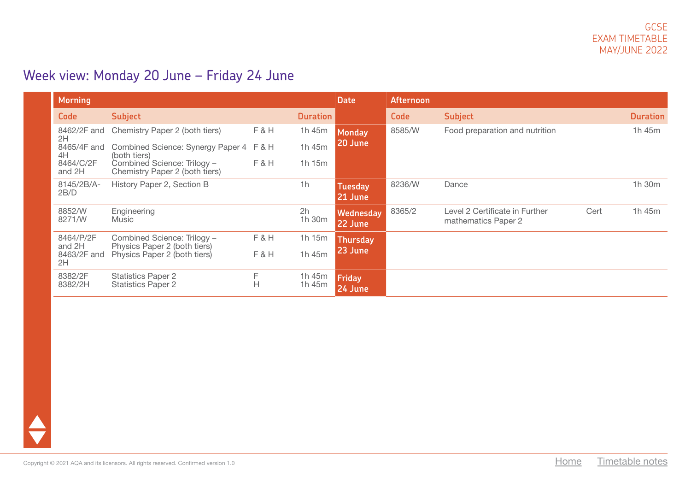## Week view: Monday 20 June – Friday 24 June

| <b>Morning</b>      |                                                               |        |                  | <b>Date</b>              | Afternoon |                                                       |      |                 |
|---------------------|---------------------------------------------------------------|--------|------------------|--------------------------|-----------|-------------------------------------------------------|------|-----------------|
| Code                | <b>Subject</b>                                                |        | <b>Duration</b>  |                          | Code      | <b>Subject</b>                                        |      | <b>Duration</b> |
| 8462/2F and<br>2H   | Chemistry Paper 2 (both tiers)                                | F&H    | 1h 45m           | <b>Monday</b>            | 8585/W    | Food preparation and nutrition                        |      | 1h 45m          |
| 8465/4F and<br>4H   | Combined Science: Synergy Paper 4<br>(both tiers)             | $F$ &H | 1h 45m           | 20 June                  |           |                                                       |      |                 |
| 8464/C/2F<br>and 2H | Combined Science: Trilogy -<br>Chemistry Paper 2 (both tiers) | F&H    | 1h 15m           |                          |           |                                                       |      |                 |
| 8145/2B/A-<br>2B/D  | History Paper 2, Section B                                    |        | 1h               | <b>Tuesday</b>           | 8236/W    | Dance                                                 |      | 1h 30m          |
|                     |                                                               |        |                  | 21 June                  |           |                                                       |      |                 |
| 8852/W<br>8271/W    | Engineering<br>Music                                          |        | 2h<br>1h 30m     | Wednesday<br>22 June     | 8365/2    | Level 2 Certificate in Further<br>mathematics Paper 2 | Cert | 1h 45m          |
| 8464/P/2F<br>and 2H | Combined Science: Trilogy -<br>Physics Paper 2 (both tiers)   | F&H    | 1h 15m           | <b>Thursday</b>          |           |                                                       |      |                 |
| 8463/2F and<br>2H   | Physics Paper 2 (both tiers)                                  | F&H    | 1h 45m           | 23 June                  |           |                                                       |      |                 |
| 8382/2F<br>8382/2H  | <b>Statistics Paper 2</b><br><b>Statistics Paper 2</b>        | F<br>H | 1h 45m<br>1h 45m | <b>Friday</b><br>24 June |           |                                                       |      |                 |